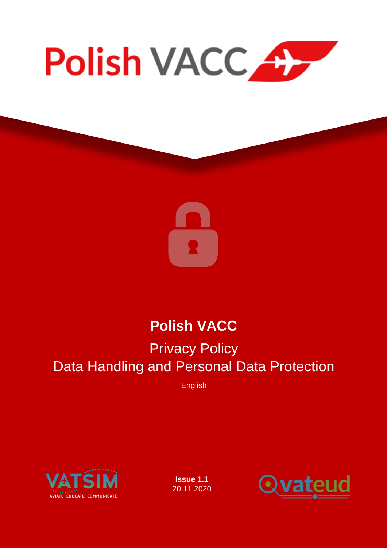



# Polish VACC

# Privacy Policy Data Handling and Personal Data Protection

English



Issue 1.1 20.11.2020

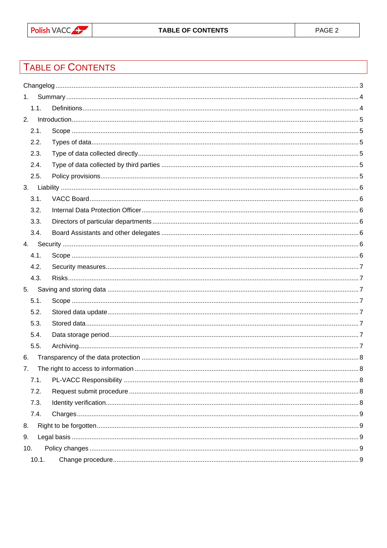## TABLE OF CONTENTS

| 1.  |       |  |
|-----|-------|--|
|     | 1.1.  |  |
| 2.  |       |  |
|     | 2.1.  |  |
|     | 2.2.  |  |
|     | 2.3.  |  |
|     | 2.4.  |  |
|     | 2.5.  |  |
| 3.  |       |  |
|     | 3.1.  |  |
|     | 3.2.  |  |
|     | 3.3.  |  |
|     | 3.4.  |  |
|     |       |  |
|     | 4.1.  |  |
|     | 4.2.  |  |
|     | 4.3.  |  |
| 5.  |       |  |
|     | 5.1.  |  |
|     | 5.2.  |  |
|     | 5.3.  |  |
|     | 5.4.  |  |
|     | 5.5.  |  |
| 6.  |       |  |
| 7.  |       |  |
|     | 7.1.  |  |
|     | 7.2.  |  |
|     | 7.3.  |  |
|     | 7.4.  |  |
| 8.  |       |  |
| 9.  |       |  |
| 10. |       |  |
|     | 10.1. |  |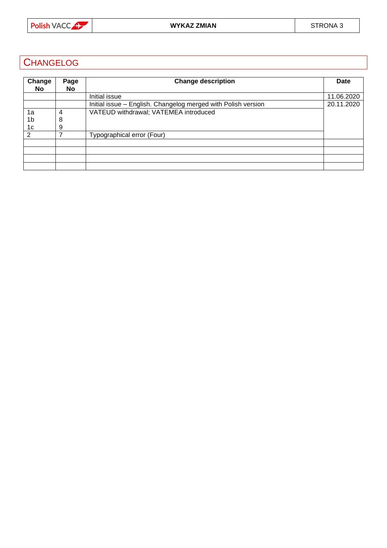

## <span id="page-2-0"></span>**CHANGELOG**

| Change         | Page | Change description                                            | Date       |
|----------------|------|---------------------------------------------------------------|------------|
| No             | No.  |                                                               |            |
|                |      | Initial issue                                                 | 11.06.2020 |
|                |      | Initial issue – English. Changelog merged with Polish version | 20.11.2020 |
| 1a             | 4    | VATEUD withdrawal; VATEMEA introduced                         |            |
| 1 <sub>b</sub> | 8    |                                                               |            |
| 1c             | 9    |                                                               |            |
| 2              |      | Typographical error (Four)                                    |            |
|                |      |                                                               |            |
|                |      |                                                               |            |
|                |      |                                                               |            |
|                |      |                                                               |            |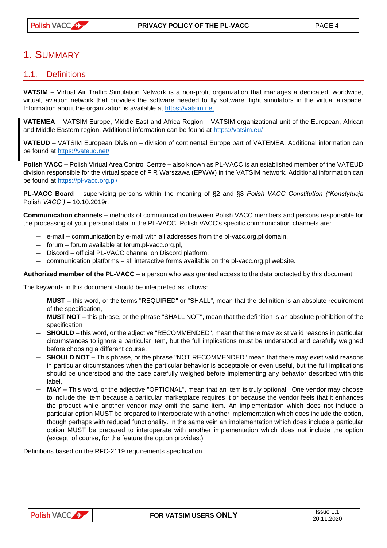## <span id="page-3-0"></span>1. SUMMARY

#### <span id="page-3-1"></span>1.1. Definitions

VATSIM – *Virtual Air Traffic Simulation Network* is a non-profit organization that manages a dedicated, worldwide, virtual, aviation network that provides the software needed to fly software flight simulators in the virtual airspace. Information about the organization is available at [https://vatsim.net](https://vatsim.net/)

VATEMEA – VATSIM Europe, Middle East and Africa Region – VATSIM organizational unit of the European, African and Middle Eastern region. Additional information can be found at<https://vatsim.eu/>

VATEUD – *VATSIM European Division* – division of continental Europe part of VATEMEA. Additional information can be found at<https://vateud.net/>

Polish VACC – *Polish Virtual Area Control Centre* – also known as *PL-VACC* is an established member of the VATEUD division responsible for the virtual space of FIR Warszawa (EPWW) in the VATSIM network. Additional information can be found at<https://pl-vacc.org.pl/>

PL-VACC Board – supervising persons within the meaning of §2 and §3 *Polish VACC Constitution ("Konstytucja Polish VACC") – 10.10.2019r.*

Communication channels – methods of communication between Polish VACC members and persons responsible for the processing of your personal data in the PL-VACC. Polish VACC's specific communication channels are:

- ― e-mail communication by e-mail with all addresses from the pl-vacc.org.pl domain,
- ― forum forum available at forum.pl-vacc.org.pl,
- ― Discord official PL-VACC channel on Discord platform,
- ― communication platforms all interactive forms available on the pl-vacc.org.pl website.

Authorized member of the PL-VACC – a person who was granted access to the data protected by this document.

The keywords in this document should be interpreted as follows:

- ― MUST this word, or the terms "REQUIRED" or "SHALL", mean that the definition is an absolute requirement of the specification,
- ― MUST NOT this phrase, or the phrase "SHALL NOT", mean that the definition is an absolute prohibition of the specification
- ― SHOULD this word, or the adjective "RECOMMENDED", mean that there may exist valid reasons in particular circumstances to ignore a particular item, but the full implications must be understood and carefully weighed before choosing a different course,
- ― SHOULD NOT This phrase, or the phrase "NOT RECOMMENDED" mean that there may exist valid reasons in particular circumstances when the particular behavior is acceptable or even useful, but the full implications should be understood and the case carefully weighed before implementing any behavior described with this label,
- ― MAY This word, or the adjective "OPTIONAL", mean that an item is truly optional. One vendor may choose to include the item because a particular marketplace requires it or because the vendor feels that it enhances the product while another vendor may omit the same item. An implementation which does not include a particular option MUST be prepared to interoperate with another implementation which does include the option, though perhaps with reduced functionality. In the same vein an implementation which does include a particular option MUST be prepared to interoperate with another implementation which does not include the option (except, of course, for the feature the option provides.)

Definitions based on the RFC-2119 requirements specification.

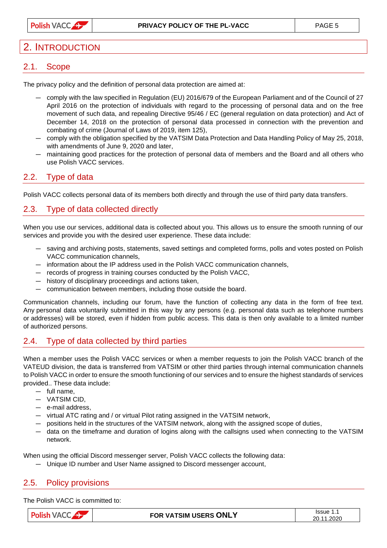## <span id="page-4-0"></span>2. INTRODUCTION

#### <span id="page-4-1"></span>2.1. Scope

The privacy policy and the definition of personal data protection are aimed at:

- ― comply with the law specified in *Regulation (EU) 2016/679 of the European Parliament and of the Council of 27 April 2016 on the protection of individuals with regard to the processing of personal data and on the free movement of such data, and repealing Directive 95/46 / EC (general regulation on data protection)* and *Act of December 14, 2018 on the protection of personal data processed in connection with the prevention and combating of crime (Journal of Laws of 2019, item 125),*
- ― comply with the obligation specified by the *VATSIM Data Protection and Data Handling Policy of May 25, 2018, with amendments of June 9, 2020 and later*,
- ― maintaining good practices for the protection of personal data of members and the Board and all others who use Polish VACC services.

#### <span id="page-4-2"></span>2.2. Type of data

Polish VACC collects personal data of its members both directly and through the use of third party data transfers.

#### <span id="page-4-3"></span>2.3. Type of data collected directly

When you use our services, additional data is collected about you. This allows us to ensure the smooth running of our services and provide you with the desired user experience. These data include:

- ― saving and archiving posts, statements, saved settings and completed forms, polls and votes posted on Polish VACC communication channels,
- ― information about the IP address used in the Polish VACC communication channels,
- ― records of progress in training courses conducted by the Polish VACC,
- ― history of disciplinary proceedings and actions taken,
- ― communication between members, including those outside the board.

Communication channels, including our forum, have the function of collecting any data in the form of free text. Any personal data voluntarily submitted in this way by any persons (e.g. personal data such as telephone numbers or addresses) will be stored, even if hidden from public access. This data is then only available to a limited number of authorized persons.

#### <span id="page-4-4"></span>2.4. Type of data collected by third parties

When a member uses the Polish VACC services or when a member requests to join the Polish VACC branch of the VATEUD division, the data is transferred from VATSIM or other third parties through internal communication channels to Polish VACC in order to ensure the smooth functioning of our services and to ensure the highest standards of services provided.. These data include:

- ― full name,
- ― VATSIM CID,
- ― e-mail address,
- ― virtual ATC rating and / or virtual Pilot rating assigned in the VATSIM network,
- ― positions held in the structures of the VATSIM network, along with the assigned scope of duties,
- ― data on the timeframe and duration of logins along with the callsigns used when connecting to the VATSIM network.

When using the official Discord messenger server, Polish VACC collects the following data:

― Unique ID number and User Name assigned to Discord messenger account,

#### <span id="page-4-5"></span>2.5. Policy provisions

The Polish VACC is committed to:

| D, | FOR VATSIM USERS ONLY | Issue<br>.<br>____<br>2020<br>20. |
|----|-----------------------|-----------------------------------|
|----|-----------------------|-----------------------------------|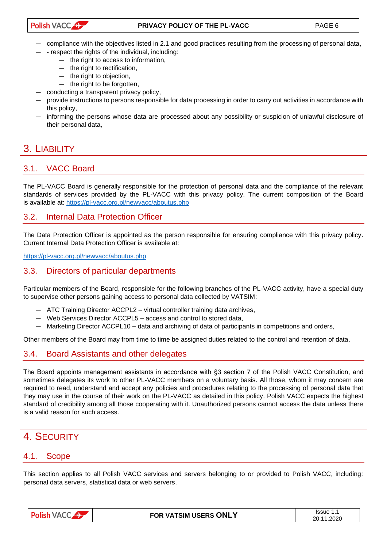- ― compliance with the objectives listed in 2.1 and good practices resulting from the processing of personal data,
- ― respect the rights of the individual, including:
	- ― the right to access to information,
	- ― the right to rectification,
	- ― the right to objection,
	- ― the right to be forgotten,
- ― conducting a transparent privacy policy,
- ― provide instructions to persons responsible for data processing in order to carry out activities in accordance with this policy,
- ― informing the persons whose data are processed about any possibility or suspicion of unlawful disclosure of their personal data,

## <span id="page-5-0"></span>3. LIABILITY

#### <span id="page-5-1"></span>3.1. VACC Board

The PL-VACC Board is generally responsible for the protection of personal data and the compliance of the relevant standards of services provided by the PL-VACC with this privacy policy. The current composition of the Board is available at:<https://pl-vacc.org.pl/newvacc/aboutus.php>

#### <span id="page-5-2"></span>3.2. Internal Data Protection Officer

The Data Protection Officer is appointed as the person responsible for ensuring compliance with this privacy policy*.*  Current Internal Data Protection Officer is available at:

<https://pl-vacc.org.pl/newvacc/aboutus.php>

#### <span id="page-5-3"></span>3.3. Directors of particular departments

Particular members of the Board, responsible for the following branches of the PL-VACC activity, have a special duty to supervise other persons gaining access to personal data collected by VATSIM:

- ― ATC Training Director ACCPL2 virtual controller training data archives,
- ― Web Services Director ACCPL5 access and control to stored data,
- ― Marketing Director ACCPL10 data and archiving of data of participants in competitions and orders,

Other members of the Board may from time to time be assigned duties related to the control and retention of data.

#### <span id="page-5-4"></span>3.4. Board Assistants and other delegates

The Board appoints management assistants in accordance with §3 section 7 of *the Polish VACC Constitution*, and sometimes delegates its work to other PL-VACC members on a voluntary basis. All those, whom it may concern are required to read, understand and accept any policies and procedures relating to the processing of personal data that they may use in the course of their work on the PL-VACC as detailed in this policy. Polish VACC expects the highest standard of credibility among all those cooperating with it. Unauthorized persons cannot access the data unless there is a valid reason for such access.

## <span id="page-5-5"></span>4. SECURITY

#### <span id="page-5-6"></span>4.1. Scope

This section applies to all Polish VACC services and servers belonging to or provided to Polish VACC, including: personal data servers, statistical data or web servers.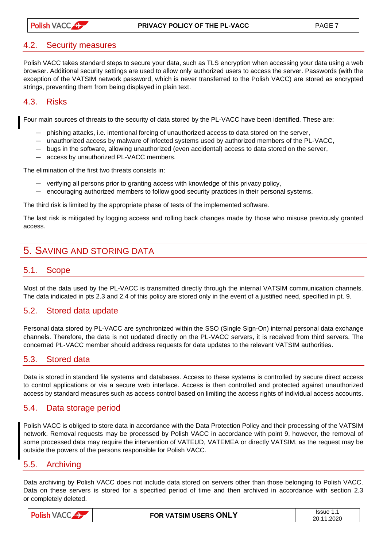#### <span id="page-6-0"></span>4.2. Security measures

Polish VACC takes standard steps to secure your data, such as TLS encryption when accessing your data using a web browser. Additional security settings are used to allow only authorized users to access the server. Passwords (with the exception of the VATSIM network password, which is never transferred to the Polish VACC) are stored as encrypted strings, preventing them from being displayed in plain text.

#### <span id="page-6-1"></span>4.3. Risks

Four main sources of threats to the security of data stored by the PL-VACC have been identified. These are:

- ― phishing attacks, i.e. intentional forcing of unauthorized access to data stored on the server,
- ― unauthorized access by malware of infected systems used by authorized members of the PL-VACC,
- ― bugs in the software, allowing unauthorized (even accidental) access to data stored on the server,
- ― access by unauthorized PL-VACC members.

The elimination of the first two threats consists in:

- ― verifying all persons prior to granting access with knowledge of this privacy policy,
- ― encouraging authorized members to follow good security practices in their personal systems.

The third risk is limited by the appropriate phase of tests of the implemented software.

The last risk is mitigated by logging access and rolling back changes made by those who misuse previously granted access.

## <span id="page-6-2"></span>5. SAVING AND STORING DATA

#### <span id="page-6-3"></span>5.1. Scope

Most of the data used by the PL-VACC is transmitted directly through the internal VATSIM communication channels. The data indicated in pts 2.3 and 2.4 of this policy are stored only in the event of a justified need, specified in pt. 9.

#### <span id="page-6-4"></span>5.2. Stored data update

Personal data stored by PL-VACC are synchronized within the *SSO* (*Single Sign-On*) internal personal data exchange channels. Therefore, the data is not updated directly on the PL-VACC servers, it is received from third servers. The concerned PL-VACC member should address requests for data updates to the relevant VATSIM authorities.

#### <span id="page-6-5"></span>5.3. Stored data

Data is stored in standard file systems and databases. Access to these systems is controlled by secure direct access to control applications or via a secure web interface. Access is then controlled and protected against unauthorized access by standard measures such as access control based on limiting the access rights of individual access accounts.

#### <span id="page-6-6"></span>5.4. Data storage period

Polish VACC is obliged to store data in accordance with the Data Protection Policy and their processing of the VATSIM network. Removal requests may be processed by Polish VACC in accordance with point 9, however, the removal of some processed data may require the intervention of VATEUD, VATEMEA or directly VATSIM, as the request may be outside the powers of the persons responsible for Polish VACC.

#### <span id="page-6-7"></span>5.5. Archiving

Data archiving by Polish VACC does not include data stored on servers other than those belonging to Polish VACC. Data on these servers is stored for a specified period of time and then archived in accordance with section 2.3 or completely deleted.

| <b>Polish</b><br>$\mathbf{A} \bullet \mathbf{A}$<br>$\Delta$ VA( $\Delta$<br>$\mathcal{L}$ | FOR VATSIM USERS ONLY | Issue<br>.<br>1.2020<br>20. |
|--------------------------------------------------------------------------------------------|-----------------------|-----------------------------|
|                                                                                            |                       |                             |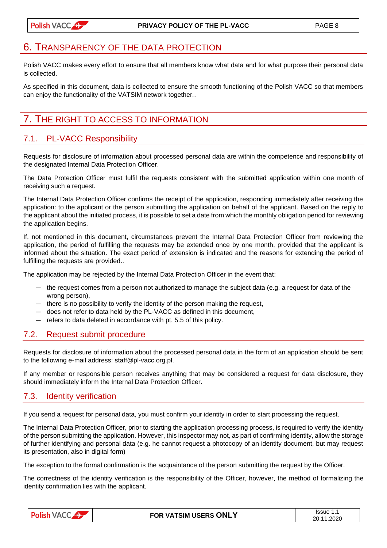## <span id="page-7-0"></span>TRANSPARENCY OF THE DATA PROTECTION

Polish VACC makes every effort to ensure that all members know what data and for what purpose their personal data is collected.

As specified in this document, data is collected to ensure the smooth functioning of the Polish VACC so that members can enjoy the functionality of the VATSIM network together..

## <span id="page-7-1"></span>7. THE RIGHT TO ACCESS TO INFORMATION

#### <span id="page-7-2"></span>7.1. PL-VACC Responsibility

Requests for disclosure of information about processed personal data are within the competence and responsibility of the designated Internal Data Protection Officer.

The Data Protection Officer must fulfil the requests consistent with the submitted application within one month of receiving such a request.

The Internal Data Protection Officer confirms the receipt of the application, responding immediately after receiving the application: to the applicant or the person submitting the application on behalf of the applicant. Based on the reply to the applicant about the initiated process, it is possible to set a date from which the monthly obligation period for reviewing the application begins.

If, not mentioned in this document, circumstances prevent the Internal Data Protection Officer from reviewing the application, the period of fulfilling the requests may be extended once by one month, provided that the applicant is informed about the situation. The exact period of extension is indicated and the reasons for extending the period of fulfilling the requests are provided..

The application may be rejected by the Internal Data Protection Officer in the event that:

- ― the request comes from a person not authorized to manage the subject data (e.g. a request for data of the wrong person),
- ― there is no possibility to verify the identity of the person making the request,
- ― does not refer to data held by the PL-VACC as defined in this document,
- ― refers to data deleted in accordance with pt. 5.5 of this policy.

#### <span id="page-7-3"></span>7.2. Request submit procedure

Requests for disclosure of information about the processed personal data in the form of an application should be sent to the following e-mail address: staff@pl-vacc.org.pl.

If any member or responsible person receives anything that may be considered a request for data disclosure, they should immediately inform the Internal Data Protection Officer.

#### <span id="page-7-4"></span>7.3. Identity verification

If you send a request for personal data, you must confirm your identity in order to start processing the request.

The Internal Data Protection Officer, prior to starting the application processing process, is required to verify the identity of the person submitting the application. However, this inspector may not, as part of confirming identity, allow the storage of further identifying and personal data (e.g. he cannot request a photocopy of an identity document, but may request its presentation, also in digital form)

The exception to the formal confirmation is the acquaintance of the person submitting the request by the Officer.

The correctness of the identity verification is the responsibility of the Officer, however, the method of formalizing the identity confirmation lies with the applicant.

|--|